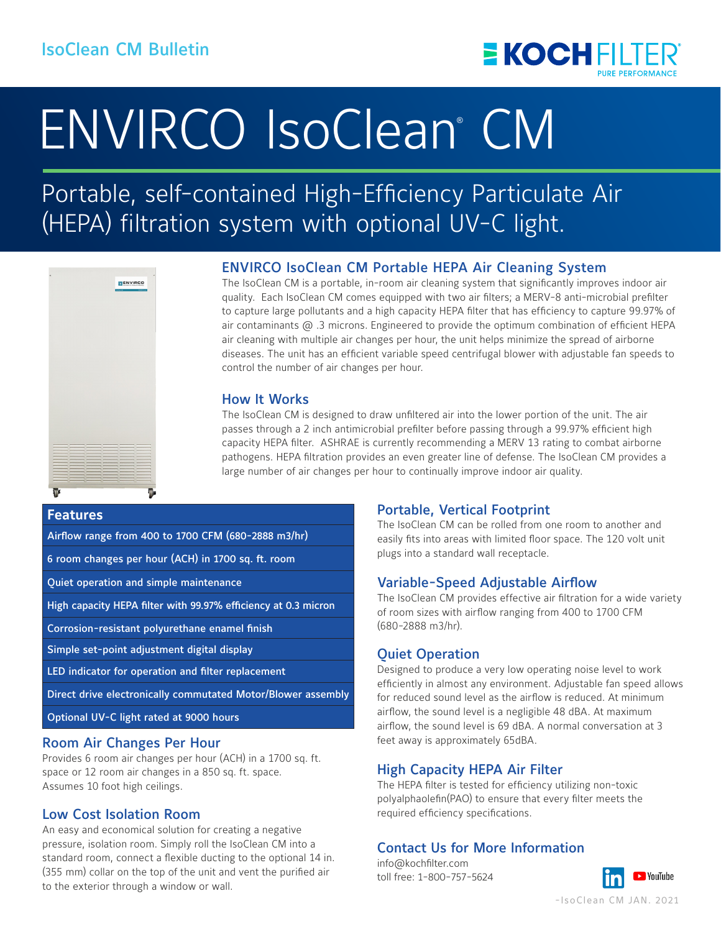

# ENVIRCO IsoClean<sup>®</sup> CM

# Portable, self-contained High-Efficiency Particulate Air (HEPA) filtration system with optional UV-C light.



# ENVIRCO IsoClean CM Portable HEPA Air Cleaning System

The IsoClean CM is a portable, in-room air cleaning system that significantly improves indoor air quality. Each IsoClean CM comes equipped with two air filters; a MERV-8 anti-microbial prefilter to capture large pollutants and a high capacity HEPA filter that has efficiency to capture 99.97% of air contaminants @ .3 microns. Engineered to provide the optimum combination of efficient HEPA air cleaning with multiple air changes per hour, the unit helps minimize the spread of airborne diseases. The unit has an efficient variable speed centrifugal blower with adjustable fan speeds to control the number of air changes per hour.

## How It Works

The IsoClean CM is designed to draw unfiltered air into the lower portion of the unit. The air passes through a 2 inch antimicrobial prefilter before passing through a 99.97% efficient high capacity HEPA filter. ASHRAE is currently recommending a MERV 13 rating to combat airborne pathogens. HEPA filtration provides an even greater line of defense. The IsoClean CM provides a large number of air changes per hour to continually improve indoor air quality.

### **Features**

Airflow range from 400 to 1700 CFM (680-2888 m3/hr)

6 room changes per hour (ACH) in 1700 sq. ft. room

Quiet operation and simple maintenance

High capacity HEPA filter with 99.97% efficiency at 0.3 micron

Corrosion-resistant polyurethane enamel finish

Simple set-point adjustment digital display

LED indicator for operation and filter replacement

Direct drive electronically commutated Motor/Blower assembly

Optional UV-C light rated at 9000 hours

#### Room Air Changes Per Hour

Provides 6 room air changes per hour (ACH) in a 1700 sq. ft. space or 12 room air changes in a 850 sq. ft. space. Assumes 10 foot high ceilings.

### Low Cost Isolation Room

An easy and economical solution for creating a negative pressure, isolation room. Simply roll the IsoClean CM into a standard room, connect a flexible ducting to the optional 14 in. (355 mm) collar on the top of the unit and vent the purified air to the exterior through a window or wall.

# Portable, Vertical Footprint

The IsoClean CM can be rolled from one room to another and easily fits into areas with limited floor space. The 120 volt unit plugs into a standard wall receptacle.

### Variable-Speed Adjustable Airflow

The IsoClean CM provides effective air filtration for a wide variety of room sizes with airflow ranging from 400 to 1700 CFM (680-2888 m3/hr).

### Quiet Operation

Designed to produce a very low operating noise level to work efficiently in almost any environment. Adjustable fan speed allows for reduced sound level as the airflow is reduced. At minimum airflow, the sound level is a negligible 48 dBA. At maximum airflow, the sound level is 69 dBA. A normal conversation at 3 feet away is approximately 65dBA.

# High Capacity HEPA Air Filter

The HEPA filter is tested for efficiency utilizing non-toxic polyalphaolefin(PAO) to ensure that every filter meets the required efficiency specifications.

# Contact Us for More Information

info@kochfilter.com toll free: 1-800-757-5624